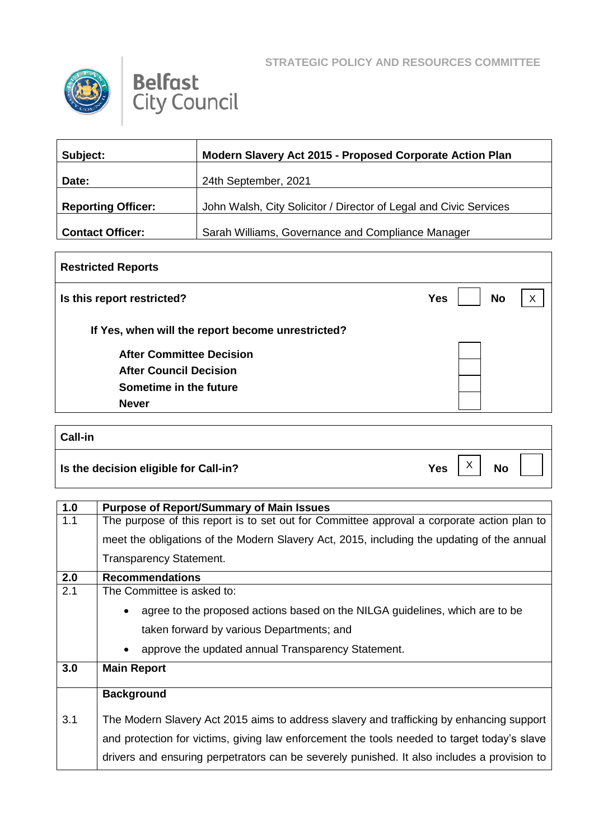



| Subject:                  | Modern Slavery Act 2015 - Proposed Corporate Action Plan          |
|---------------------------|-------------------------------------------------------------------|
| Date:                     | 24th September, 2021                                              |
| <b>Reporting Officer:</b> | John Walsh, City Solicitor / Director of Legal and Civic Services |
| <b>Contact Officer:</b>   | Sarah Williams, Governance and Compliance Manager                 |

## **Restricted Reports Is this report restricted? No No If Yes, when will the report become unrestricted? After Committee Decision After Council Decision Sometime in the future Never** X

| Call-in                               |            |                |           |  |
|---------------------------------------|------------|----------------|-----------|--|
| Is the decision eligible for Call-in? | <b>Yes</b> | $\sqrt{}$<br>∧ | <b>No</b> |  |

| 1.0 | <b>Purpose of Report/Summary of Main Issues</b>                                             |  |
|-----|---------------------------------------------------------------------------------------------|--|
| 1.1 | The purpose of this report is to set out for Committee approval a corporate action plan to  |  |
|     | meet the obligations of the Modern Slavery Act, 2015, including the updating of the annual  |  |
|     | <b>Transparency Statement.</b>                                                              |  |
| 2.0 | <b>Recommendations</b>                                                                      |  |
| 2.1 | The Committee is asked to:                                                                  |  |
|     | agree to the proposed actions based on the NILGA guidelines, which are to be                |  |
|     | taken forward by various Departments; and                                                   |  |
|     | approve the updated annual Transparency Statement.<br>$\bullet$                             |  |
| 3.0 | <b>Main Report</b>                                                                          |  |
|     | <b>Background</b>                                                                           |  |
| 3.1 | The Modern Slavery Act 2015 aims to address slavery and trafficking by enhancing support    |  |
|     | and protection for victims, giving law enforcement the tools needed to target today's slave |  |
|     | drivers and ensuring perpetrators can be severely punished. It also includes a provision to |  |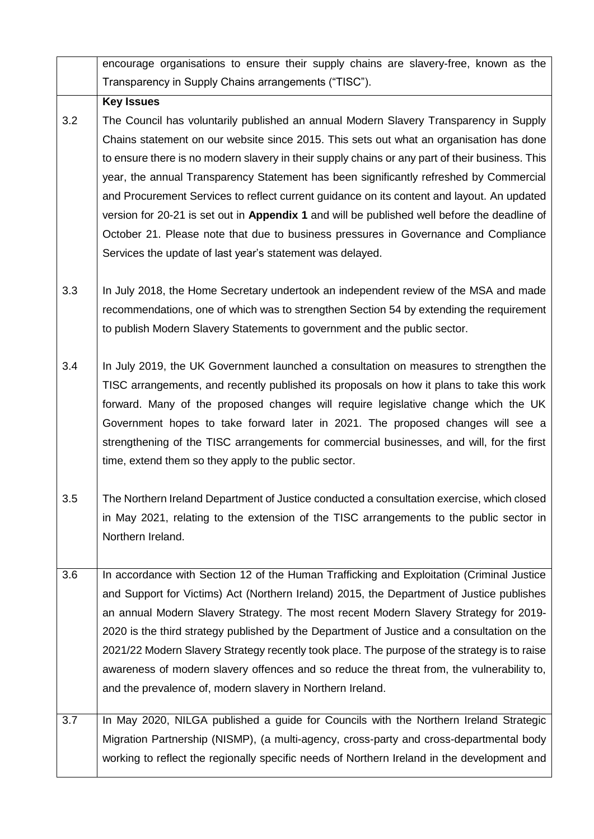|     | encourage organisations to ensure their supply chains are slavery-free, known as the            |
|-----|-------------------------------------------------------------------------------------------------|
|     | Transparency in Supply Chains arrangements ("TISC").                                            |
|     | <b>Key Issues</b>                                                                               |
| 3.2 | The Council has voluntarily published an annual Modern Slavery Transparency in Supply           |
|     | Chains statement on our website since 2015. This sets out what an organisation has done         |
|     | to ensure there is no modern slavery in their supply chains or any part of their business. This |
|     | year, the annual Transparency Statement has been significantly refreshed by Commercial          |
|     | and Procurement Services to reflect current guidance on its content and layout. An updated      |
|     | version for 20-21 is set out in Appendix 1 and will be published well before the deadline of    |
|     | October 21. Please note that due to business pressures in Governance and Compliance             |
|     | Services the update of last year's statement was delayed.                                       |
|     |                                                                                                 |
| 3.3 | In July 2018, the Home Secretary undertook an independent review of the MSA and made            |
|     | recommendations, one of which was to strengthen Section 54 by extending the requirement         |
|     | to publish Modern Slavery Statements to government and the public sector.                       |
| 3.4 | In July 2019, the UK Government launched a consultation on measures to strengthen the           |
|     | TISC arrangements, and recently published its proposals on how it plans to take this work       |
|     | forward. Many of the proposed changes will require legislative change which the UK              |
|     | Government hopes to take forward later in 2021. The proposed changes will see a                 |
|     | strengthening of the TISC arrangements for commercial businesses, and will, for the first       |
|     | time, extend them so they apply to the public sector.                                           |
|     |                                                                                                 |
| 3.5 | The Northern Ireland Department of Justice conducted a consultation exercise, which closed      |
|     | in May 2021, relating to the extension of the TISC arrangements to the public sector in         |
|     | Northern Ireland.                                                                               |
|     |                                                                                                 |
| 3.6 | In accordance with Section 12 of the Human Trafficking and Exploitation (Criminal Justice       |
|     | and Support for Victims) Act (Northern Ireland) 2015, the Department of Justice publishes       |
|     | an annual Modern Slavery Strategy. The most recent Modern Slavery Strategy for 2019-            |
|     | 2020 is the third strategy published by the Department of Justice and a consultation on the     |
|     | 2021/22 Modern Slavery Strategy recently took place. The purpose of the strategy is to raise    |
|     | awareness of modern slavery offences and so reduce the threat from, the vulnerability to,       |
|     | and the prevalence of, modern slavery in Northern Ireland.                                      |
| 3.7 | In May 2020, NILGA published a guide for Councils with the Northern Ireland Strategic           |
|     | Migration Partnership (NISMP), (a multi-agency, cross-party and cross-departmental body         |
|     | working to reflect the regionally specific needs of Northern Ireland in the development and     |
|     |                                                                                                 |